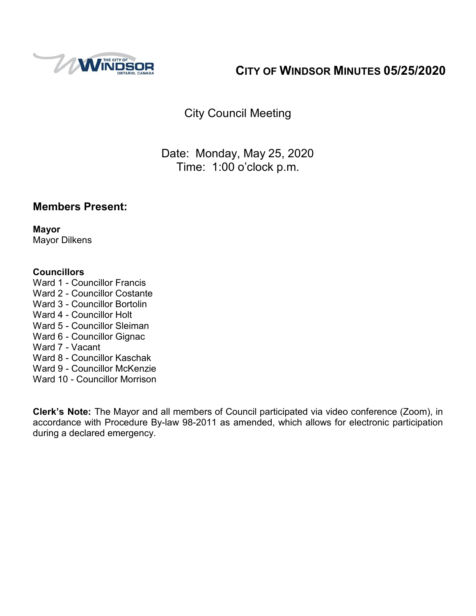

# **CITY OF WINDSOR MINUTES 05/25/2020**

City Council Meeting

Date: Monday, May 25, 2020 Time: 1:00 o'clock p.m.

# **Members Present:**

**Mayor** Mayor Dilkens

#### **Councillors**

- Ward 1 Councillor Francis
- Ward 2 Councillor Costante
- Ward 3 Councillor Bortolin
- Ward 4 Councillor Holt
- Ward 5 Councillor Sleiman
- Ward 6 Councillor Gignac
- Ward 7 Vacant
- Ward 8 Councillor Kaschak
- Ward 9 Councillor McKenzie
- Ward 10 Councillor Morrison

**Clerk's Note:** The Mayor and all members of Council participated via video conference (Zoom), in accordance with Procedure By-law 98-2011 as amended, which allows for electronic participation during a declared emergency.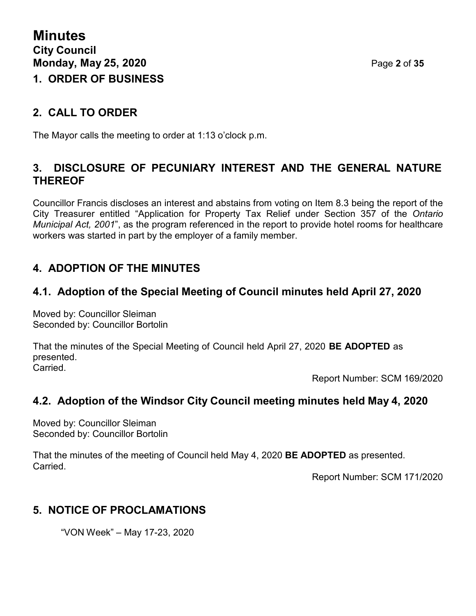# **2. CALL TO ORDER**

The Mayor calls the meeting to order at 1:13 o'clock p.m.

# **3. DISCLOSURE OF PECUNIARY INTEREST AND THE GENERAL NATURE THEREOF**

Councillor Francis discloses an interest and abstains from voting on Item 8.3 being the report of the City Treasurer entitled "Application for Property Tax Relief under Section 357 of the *Ontario Municipal Act, 2001*", as the program referenced in the report to provide hotel rooms for healthcare workers was started in part by the employer of a family member.

# **4. ADOPTION OF THE MINUTES**

# **4.1. Adoption of the Special Meeting of Council minutes held April 27, 2020**

Moved by: Councillor Sleiman Seconded by: Councillor Bortolin

That the minutes of the Special Meeting of Council held April 27, 2020 **BE ADOPTED** as presented. Carried.

Report Number: SCM 169/2020

# **4.2. Adoption of the Windsor City Council meeting minutes held May 4, 2020**

Moved by: Councillor Sleiman Seconded by: Councillor Bortolin

That the minutes of the meeting of Council held May 4, 2020 **BE ADOPTED** as presented. Carried.

Report Number: SCM 171/2020

# **5. NOTICE OF PROCLAMATIONS**

"VON Week" – May 17-23, 2020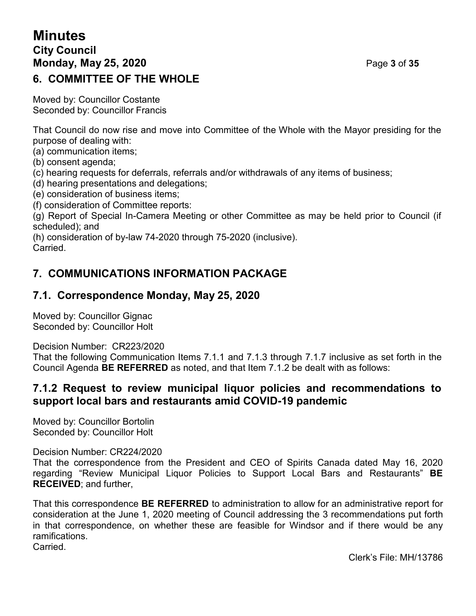# **Minutes City Council Monday, May 25, 2020** Page **3** of **35 6. COMMITTEE OF THE WHOLE**

Moved by: Councillor Costante Seconded by: Councillor Francis

That Council do now rise and move into Committee of the Whole with the Mayor presiding for the purpose of dealing with:

(a) communication items;

(b) consent agenda;

(c) hearing requests for deferrals, referrals and/or withdrawals of any items of business;

(d) hearing presentations and delegations;

(e) consideration of business items;

(f) consideration of Committee reports:

(g) Report of Special In-Camera Meeting or other Committee as may be held prior to Council (if scheduled); and

(h) consideration of by-law 74-2020 through 75-2020 (inclusive). Carried.

# **7. COMMUNICATIONS INFORMATION PACKAGE**

# **7.1. Correspondence Monday, May 25, 2020**

Moved by: Councillor Gignac Seconded by: Councillor Holt

Decision Number: CR223/2020

That the following Communication Items 7.1.1 and 7.1.3 through 7.1.7 inclusive as set forth in the Council Agenda **BE REFERRED** as noted, and that Item 7.1.2 be dealt with as follows:

# **7.1.2 Request to review municipal liquor policies and recommendations to support local bars and restaurants amid COVID-19 pandemic**

Moved by: Councillor Bortolin Seconded by: Councillor Holt

Decision Number: CR224/2020

That the correspondence from the President and CEO of Spirits Canada dated May 16, 2020 regarding "Review Municipal Liquor Policies to Support Local Bars and Restaurants" **BE RECEIVED**; and further,

That this correspondence **BE REFERRED** to administration to allow for an administrative report for consideration at the June 1, 2020 meeting of Council addressing the 3 recommendations put forth in that correspondence, on whether these are feasible for Windsor and if there would be any ramifications. **Carried** 

Clerk's File: MH/13786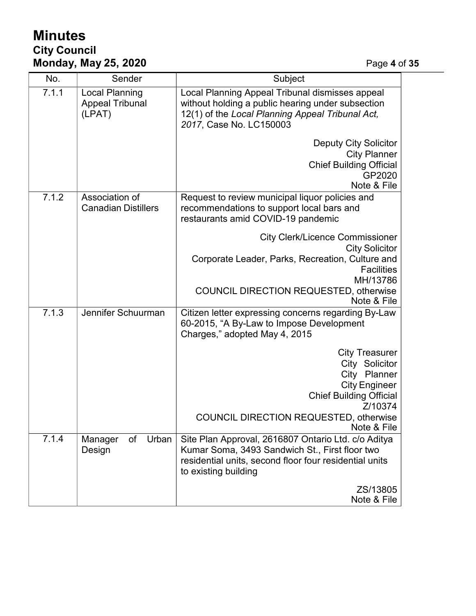# **Minutes City Council Monday, May 25, 2020** Page **4** of **35**

| No.   | Sender                                                    | Subject                                                                                                                                                                                                              |  |
|-------|-----------------------------------------------------------|----------------------------------------------------------------------------------------------------------------------------------------------------------------------------------------------------------------------|--|
| 7.1.1 | <b>Local Planning</b><br><b>Appeal Tribunal</b><br>(LPAT) | Local Planning Appeal Tribunal dismisses appeal<br>without holding a public hearing under subsection<br>12(1) of the Local Planning Appeal Tribunal Act,<br>2017, Case No. LC150003                                  |  |
|       |                                                           | <b>Deputy City Solicitor</b><br><b>City Planner</b><br><b>Chief Building Official</b><br>GP2020<br>Note & File                                                                                                       |  |
| 7.1.2 | Association of<br><b>Canadian Distillers</b>              | Request to review municipal liquor policies and<br>recommendations to support local bars and<br>restaurants amid COVID-19 pandemic                                                                                   |  |
|       |                                                           | <b>City Clerk/Licence Commissioner</b><br><b>City Solicitor</b><br>Corporate Leader, Parks, Recreation, Culture and<br><b>Facilities</b><br>MH/13786<br><b>COUNCIL DIRECTION REQUESTED, otherwise</b><br>Note & File |  |
| 7.1.3 | Jennifer Schuurman                                        | Citizen letter expressing concerns regarding By-Law<br>60-2015, "A By-Law to Impose Development<br>Charges," adopted May 4, 2015                                                                                     |  |
|       |                                                           | <b>City Treasurer</b><br>City Solicitor<br>City Planner<br><b>City Engineer</b><br><b>Chief Building Official</b><br>Z/10374<br><b>COUNCIL DIRECTION REQUESTED, otherwise</b><br>Note & File                         |  |
| 7.1.4 | Urban<br>Manager<br>of<br>Design                          | Site Plan Approval, 2616807 Ontario Ltd. c/o Aditya<br>Kumar Soma, 3493 Sandwich St., First floor two<br>residential units, second floor four residential units<br>to existing building<br>ZS/13805<br>Note & File   |  |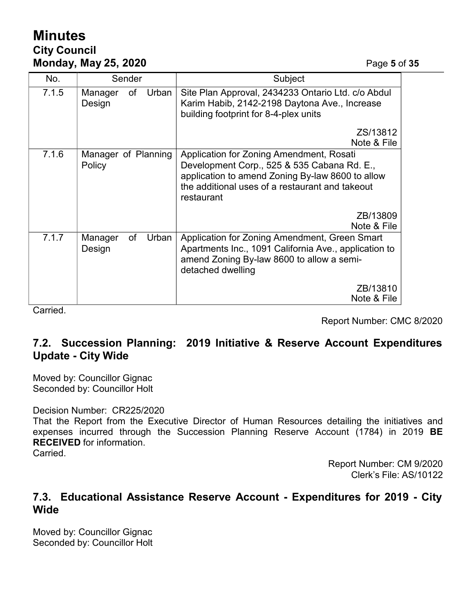# **Minutes City Council Monday, May 25, 2020** Page **5** of **35**

| No.   | Sender                           | Subject                                                                                                                                                                                                      |  |
|-------|----------------------------------|--------------------------------------------------------------------------------------------------------------------------------------------------------------------------------------------------------------|--|
| 7.1.5 | Urban<br>of<br>Manager<br>Design | Site Plan Approval, 2434233 Ontario Ltd. c/o Abdul<br>Karim Habib, 2142-2198 Daytona Ave., Increase<br>building footprint for 8-4-plex units                                                                 |  |
|       |                                  | ZS/13812<br>Note & File                                                                                                                                                                                      |  |
| 7.1.6 | Manager of Planning<br>Policy    | Application for Zoning Amendment, Rosati<br>Development Corp., 525 & 535 Cabana Rd. E.,<br>application to amend Zoning By-law 8600 to allow<br>the additional uses of a restaurant and takeout<br>restaurant |  |
|       |                                  | ZB/13809<br>Note & File                                                                                                                                                                                      |  |
| 7.1.7 | of<br>Manager<br>Urban<br>Design | Application for Zoning Amendment, Green Smart<br>Apartments Inc., 1091 California Ave., application to<br>amend Zoning By-law 8600 to allow a semi-<br>detached dwelling                                     |  |
|       |                                  | ZB/13810<br>Note & File                                                                                                                                                                                      |  |

**Carried** 

Report Number: CMC 8/2020

# **7.2. Succession Planning: 2019 Initiative & Reserve Account Expenditures Update - City Wide**

Moved by: Councillor Gignac Seconded by: Councillor Holt

#### Decision Number: CR225/2020

That the Report from the Executive Director of Human Resources detailing the initiatives and expenses incurred through the Succession Planning Reserve Account (1784) in 2019 **BE RECEIVED** for information.

Carried.

Report Number: CM 9/2020 Clerk's File: AS/10122

### **7.3. Educational Assistance Reserve Account - Expenditures for 2019 - City Wide**

Moved by: Councillor Gignac Seconded by: Councillor Holt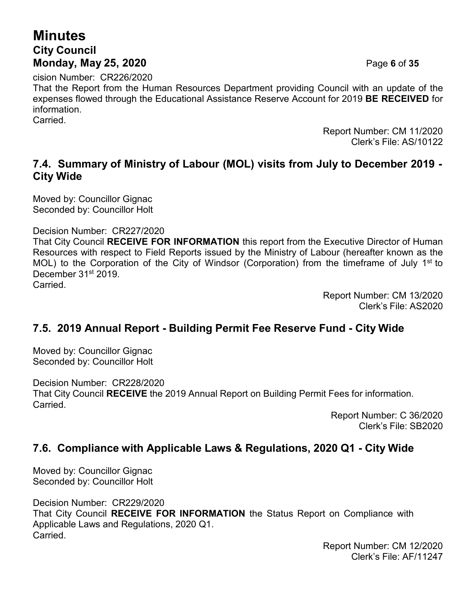# **Minutes City Council Monday, May 25, 2020** Page **6** of **35**

cision Number: CR226/2020

That the Report from the Human Resources Department providing Council with an update of the expenses flowed through the Educational Assistance Reserve Account for 2019 **BE RECEIVED** for information.

Carried.

Report Number: CM 11/2020 Clerk's File: AS/10122

# **7.4. Summary of Ministry of Labour (MOL) visits from July to December 2019 - City Wide**

Moved by: Councillor Gignac Seconded by: Councillor Holt

Decision Number: CR227/2020

That City Council **RECEIVE FOR INFORMATION** this report from the Executive Director of Human Resources with respect to Field Reports issued by the Ministry of Labour (hereafter known as the MOL) to the Corporation of the City of Windsor (Corporation) from the timeframe of July 1<sup>st</sup> to December 31<sup>st</sup> 2019.

Carried.

Report Number: CM 13/2020 Clerk's File: AS2020

# **7.5. 2019 Annual Report - Building Permit Fee Reserve Fund - City Wide**

Moved by: Councillor Gignac Seconded by: Councillor Holt

Decision Number: CR228/2020 That City Council **RECEIVE** the 2019 Annual Report on Building Permit Fees for information. Carried.

> Report Number: C 36/2020 Clerk's File: SB2020

# **7.6. Compliance with Applicable Laws & Regulations, 2020 Q1 - City Wide**

Moved by: Councillor Gignac Seconded by: Councillor Holt

Decision Number: CR229/2020 That City Council **RECEIVE FOR INFORMATION** the Status Report on Compliance with Applicable Laws and Regulations, 2020 Q1. Carried.

Report Number: CM 12/2020 Clerk's File: AF/11247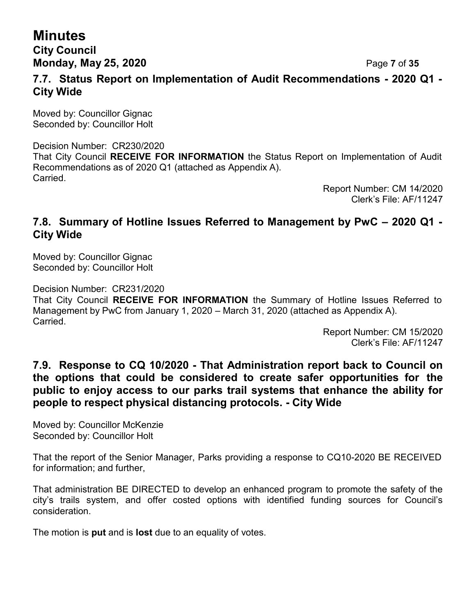# **Minutes City Council**

**Monday, May 25, 2020** Page **7** of **35**

### **7.7. Status Report on Implementation of Audit Recommendations - 2020 Q1 - City Wide**

Moved by: Councillor Gignac Seconded by: Councillor Holt

Decision Number: CR230/2020 That City Council **RECEIVE FOR INFORMATION** the Status Report on Implementation of Audit Recommendations as of 2020 Q1 (attached as Appendix A). Carried.

Report Number: CM 14/2020 Clerk's File: AF/11247

### **7.8. Summary of Hotline Issues Referred to Management by PwC – 2020 Q1 - City Wide**

Moved by: Councillor Gignac Seconded by: Councillor Holt

Carried.

Decision Number: CR231/2020 That City Council **RECEIVE FOR INFORMATION** the Summary of Hotline Issues Referred to Management by PwC from January 1, 2020 – March 31, 2020 (attached as Appendix A).

> Report Number: CM 15/2020 Clerk's File: AF/11247

# **7.9. Response to CQ 10/2020 - That Administration report back to Council on the options that could be considered to create safer opportunities for the public to enjoy access to our parks trail systems that enhance the ability for people to respect physical distancing protocols. - City Wide**

Moved by: Councillor McKenzie Seconded by: Councillor Holt

That the report of the Senior Manager, Parks providing a response to CQ10-2020 BE RECEIVED for information; and further,

That administration BE DIRECTED to develop an enhanced program to promote the safety of the city's trails system, and offer costed options with identified funding sources for Council's consideration.

The motion is **put** and is **lost** due to an equality of votes.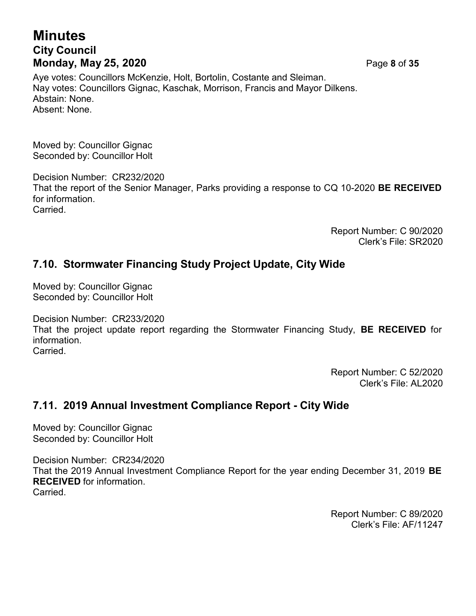# **Minutes City Council Monday, May 25, 2020** Page **8** of **35**

Aye votes: Councillors McKenzie, Holt, Bortolin, Costante and Sleiman. Nay votes: Councillors Gignac, Kaschak, Morrison, Francis and Mayor Dilkens. Abstain: None. Absent: None.

Moved by: Councillor Gignac Seconded by: Councillor Holt

Decision Number: CR232/2020 That the report of the Senior Manager, Parks providing a response to CQ 10-2020 **BE RECEIVED** for information. Carried.

> Report Number: C 90/2020 Clerk's File: SR2020

# **7.10. Stormwater Financing Study Project Update, City Wide**

Moved by: Councillor Gignac Seconded by: Councillor Holt

Decision Number: CR233/2020 That the project update report regarding the Stormwater Financing Study, **BE RECEIVED** for information. **Carried** 

> Report Number: C 52/2020 Clerk's File: AL2020

# **7.11. 2019 Annual Investment Compliance Report - City Wide**

Moved by: Councillor Gignac Seconded by: Councillor Holt

Decision Number: CR234/2020 That the 2019 Annual Investment Compliance Report for the year ending December 31, 2019 **BE RECEIVED** for information. Carried.

> Report Number: C 89/2020 Clerk's File: AF/11247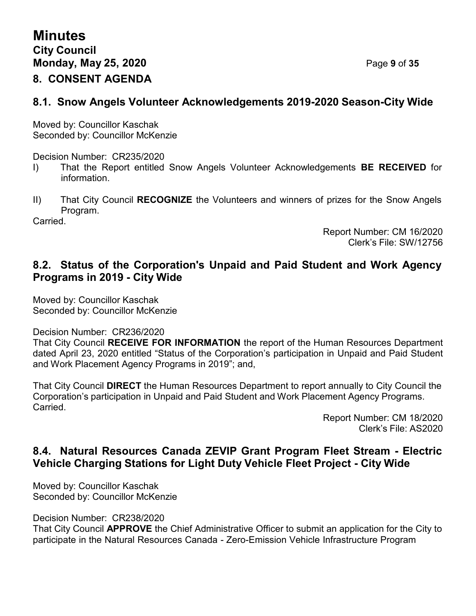# **8.1. Snow Angels Volunteer Acknowledgements 2019-2020 Season-City Wide**

Moved by: Councillor Kaschak Seconded by: Councillor McKenzie

Decision Number: CR235/2020

- I) That the Report entitled Snow Angels Volunteer Acknowledgements **BE RECEIVED** for information.
- II) That City Council **RECOGNIZE** the Volunteers and winners of prizes for the Snow Angels Program.

Carried.

Report Number: CM 16/2020 Clerk's File: SW/12756

# **8.2. Status of the Corporation's Unpaid and Paid Student and Work Agency Programs in 2019 - City Wide**

Moved by: Councillor Kaschak Seconded by: Councillor McKenzie

Decision Number: CR236/2020

That City Council **RECEIVE FOR INFORMATION** the report of the Human Resources Department dated April 23, 2020 entitled "Status of the Corporation's participation in Unpaid and Paid Student and Work Placement Agency Programs in 2019"; and,

That City Council **DIRECT** the Human Resources Department to report annually to City Council the Corporation's participation in Unpaid and Paid Student and Work Placement Agency Programs. Carried.

> Report Number: CM 18/2020 Clerk's File: AS2020

# **8.4. Natural Resources Canada ZEVIP Grant Program Fleet Stream - Electric Vehicle Charging Stations for Light Duty Vehicle Fleet Project - City Wide**

Moved by: Councillor Kaschak Seconded by: Councillor McKenzie

Decision Number: CR238/2020

That City Council **APPROVE** the Chief Administrative Officer to submit an application for the City to participate in the Natural Resources Canada - Zero-Emission Vehicle Infrastructure Program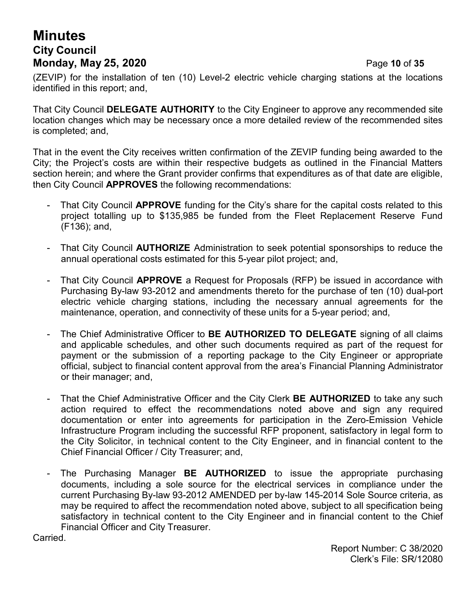# **Minutes City Council Monday, May 25, 2020** Page **10** of **35**

(ZEVIP) for the installation of ten (10) Level-2 electric vehicle charging stations at the locations identified in this report; and,

That City Council **DELEGATE AUTHORITY** to the City Engineer to approve any recommended site location changes which may be necessary once a more detailed review of the recommended sites is completed; and,

That in the event the City receives written confirmation of the ZEVIP funding being awarded to the City; the Project's costs are within their respective budgets as outlined in the Financial Matters section herein; and where the Grant provider confirms that expenditures as of that date are eligible, then City Council **APPROVES** the following recommendations:

- That City Council **APPROVE** funding for the City's share for the capital costs related to this project totalling up to \$135,985 be funded from the Fleet Replacement Reserve Fund (F136); and,
- That City Council **AUTHORIZE** Administration to seek potential sponsorships to reduce the annual operational costs estimated for this 5-year pilot project; and,
- That City Council **APPROVE** a Request for Proposals (RFP) be issued in accordance with Purchasing By-law 93-2012 and amendments thereto for the purchase of ten (10) dual-port electric vehicle charging stations, including the necessary annual agreements for the maintenance, operation, and connectivity of these units for a 5-year period; and,
- The Chief Administrative Officer to **BE AUTHORIZED TO DELEGATE** signing of all claims and applicable schedules, and other such documents required as part of the request for payment or the submission of a reporting package to the City Engineer or appropriate official, subject to financial content approval from the area's Financial Planning Administrator or their manager; and,
- That the Chief Administrative Officer and the City Clerk **BE AUTHORIZED** to take any such action required to effect the recommendations noted above and sign any required documentation or enter into agreements for participation in the Zero-Emission Vehicle Infrastructure Program including the successful RFP proponent, satisfactory in legal form to the City Solicitor, in technical content to the City Engineer, and in financial content to the Chief Financial Officer / City Treasurer; and,
- The Purchasing Manager **BE AUTHORIZED** to issue the appropriate purchasing documents, including a sole source for the electrical services in compliance under the current Purchasing By-law 93-2012 AMENDED per by-law 145-2014 Sole Source criteria, as may be required to affect the recommendation noted above, subject to all specification being satisfactory in technical content to the City Engineer and in financial content to the Chief Financial Officer and City Treasurer.

Carried.

Report Number: C 38/2020 Clerk's File: SR/12080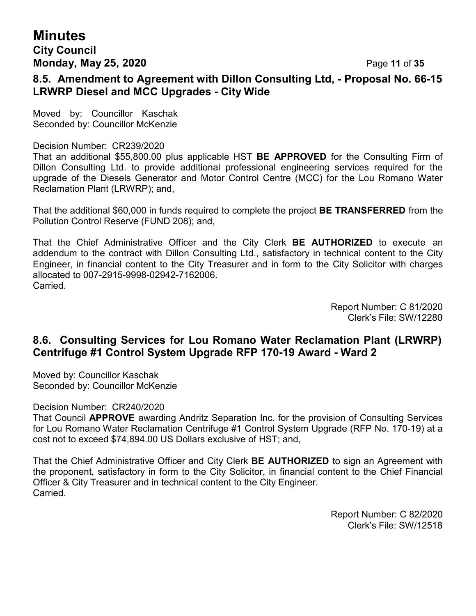# **Minutes City Council Monday, May 25, 2020** Page **11** of **35**

# **8.5. Amendment to Agreement with Dillon Consulting Ltd, - Proposal No. 66-15 LRWRP Diesel and MCC Upgrades - City Wide**

Moved by: Councillor Kaschak Seconded by: Councillor McKenzie

#### Decision Number: CR239/2020

That an additional \$55,800.00 plus applicable HST **BE APPROVED** for the Consulting Firm of Dillon Consulting Ltd. to provide additional professional engineering services required for the upgrade of the Diesels Generator and Motor Control Centre (MCC) for the Lou Romano Water Reclamation Plant (LRWRP); and,

That the additional \$60,000 in funds required to complete the project **BE TRANSFERRED** from the Pollution Control Reserve (FUND 208); and,

That the Chief Administrative Officer and the City Clerk **BE AUTHORIZED** to execute an addendum to the contract with Dillon Consulting Ltd., satisfactory in technical content to the City Engineer, in financial content to the City Treasurer and in form to the City Solicitor with charges allocated to 007-2915-9998-02942-7162006. Carried.

> Report Number: C 81/2020 Clerk's File: SW/12280

# **8.6. Consulting Services for Lou Romano Water Reclamation Plant (LRWRP) Centrifuge #1 Control System Upgrade RFP 170-19 Award - Ward 2**

Moved by: Councillor Kaschak Seconded by: Councillor McKenzie

Decision Number: CR240/2020

That Council **APPROVE** awarding Andritz Separation Inc. for the provision of Consulting Services for Lou Romano Water Reclamation Centrifuge #1 Control System Upgrade (RFP No. 170-19) at a cost not to exceed \$74,894.00 US Dollars exclusive of HST; and,

That the Chief Administrative Officer and City Clerk **BE AUTHORIZED** to sign an Agreement with the proponent, satisfactory in form to the City Solicitor, in financial content to the Chief Financial Officer & City Treasurer and in technical content to the City Engineer. Carried.

> Report Number: C 82/2020 Clerk's File: SW/12518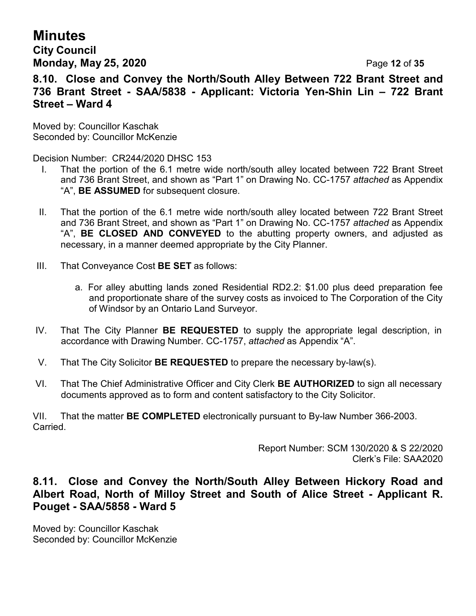# **Minutes**

# **City Council Monday, May 25, 2020** Page **12** of **35**

**8.10. Close and Convey the North/South Alley Between 722 Brant Street and 736 Brant Street - SAA/5838 - Applicant: Victoria Yen-Shin Lin – 722 Brant Street – Ward 4**

Moved by: Councillor Kaschak Seconded by: Councillor McKenzie

Decision Number: CR244/2020 DHSC 153

- I. That the portion of the 6.1 metre wide north/south alley located between 722 Brant Street and 736 Brant Street, and shown as "Part 1" on Drawing No. CC-1757 *attached* as Appendix "A", **BE ASSUMED** for subsequent closure.
- II. That the portion of the 6.1 metre wide north/south alley located between 722 Brant Street and 736 Brant Street, and shown as "Part 1" on Drawing No. CC-1757 *attached* as Appendix "A", **BE CLOSED AND CONVEYED** to the abutting property owners, and adjusted as necessary, in a manner deemed appropriate by the City Planner.
- III. That Conveyance Cost **BE SET** as follows:
	- a. For alley abutting lands zoned Residential RD2.2: \$1.00 plus deed preparation fee and proportionate share of the survey costs as invoiced to The Corporation of the City of Windsor by an Ontario Land Surveyor.
- IV. That The City Planner **BE REQUESTED** to supply the appropriate legal description, in accordance with Drawing Number. CC-1757, *attached* as Appendix "A".
- V. That The City Solicitor **BE REQUESTED** to prepare the necessary by-law(s).
- VI. That The Chief Administrative Officer and City Clerk **BE AUTHORIZED** to sign all necessary documents approved as to form and content satisfactory to the City Solicitor.

VII. That the matter **BE COMPLETED** electronically pursuant to By-law Number 366-2003. Carried.

> Report Number: SCM 130/2020 & S 22/2020 Clerk's File: SAA2020

# **8.11. Close and Convey the North/South Alley Between Hickory Road and Albert Road, North of Milloy Street and South of Alice Street - Applicant R. Pouget - SAA/5858 - Ward 5**

Moved by: Councillor Kaschak Seconded by: Councillor McKenzie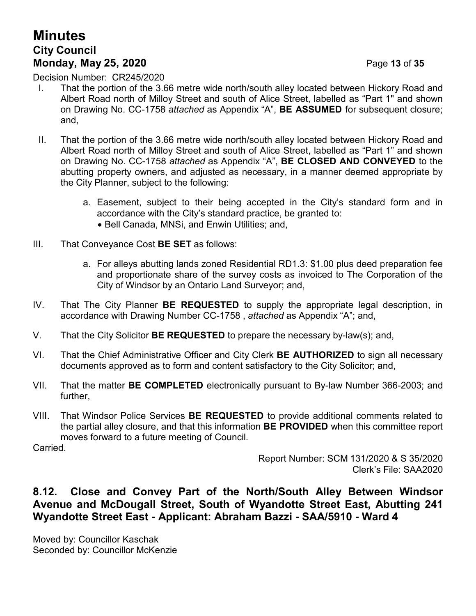# **Minutes City Council Monday, May 25, 2020** Page **13** of **35**

Decision Number: CR245/2020

- I. That the portion of the 3.66 metre wide north/south alley located between Hickory Road and Albert Road north of Milloy Street and south of Alice Street, labelled as "Part 1" and shown on Drawing No. CC-1758 *attached* as Appendix "A", **BE ASSUMED** for subsequent closure; and,
- II. That the portion of the 3.66 metre wide north/south alley located between Hickory Road and Albert Road north of Milloy Street and south of Alice Street, labelled as "Part 1" and shown on Drawing No. CC-1758 *attached* as Appendix "A", **BE CLOSED AND CONVEYED** to the abutting property owners, and adjusted as necessary, in a manner deemed appropriate by the City Planner, subject to the following:
	- a. Easement, subject to their being accepted in the City's standard form and in accordance with the City's standard practice, be granted to:
		- Bell Canada, MNSi, and Enwin Utilities; and,
- III. That Conveyance Cost **BE SET** as follows:
	- a. For alleys abutting lands zoned Residential RD1.3: \$1.00 plus deed preparation fee and proportionate share of the survey costs as invoiced to The Corporation of the City of Windsor by an Ontario Land Surveyor; and,
- IV. That The City Planner **BE REQUESTED** to supply the appropriate legal description, in accordance with Drawing Number CC-1758 , *attached* as Appendix "A"; and,
- V. That the City Solicitor **BE REQUESTED** to prepare the necessary by-law(s); and,
- VI. That the Chief Administrative Officer and City Clerk **BE AUTHORIZED** to sign all necessary documents approved as to form and content satisfactory to the City Solicitor; and,
- VII. That the matter **BE COMPLETED** electronically pursuant to By-law Number 366-2003; and further,
- VIII. That Windsor Police Services **BE REQUESTED** to provide additional comments related to the partial alley closure, and that this information **BE PROVIDED** when this committee report moves forward to a future meeting of Council.

Carried.

Report Number: SCM 131/2020 & S 35/2020 Clerk's File: SAA2020

# **8.12. Close and Convey Part of the North/South Alley Between Windsor Avenue and McDougall Street, South of Wyandotte Street East, Abutting 241 Wyandotte Street East - Applicant: Abraham Bazzi - SAA/5910 - Ward 4**

Moved by: Councillor Kaschak Seconded by: Councillor McKenzie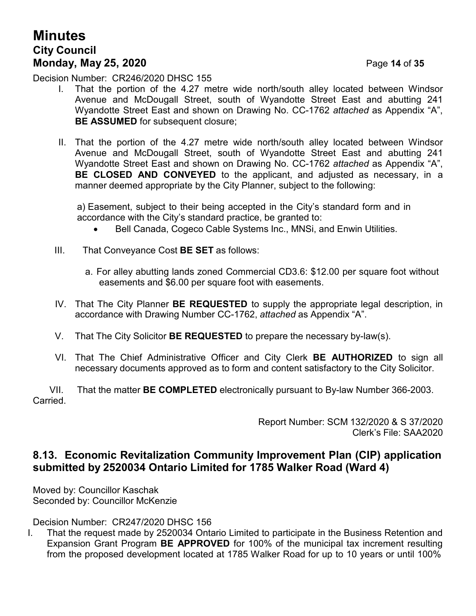# **Minutes City Council Monday, May 25, 2020** Page **14** of **35**

Decision Number: CR246/2020 DHSC 155

- I. That the portion of the 4.27 metre wide north/south alley located between Windsor Avenue and McDougall Street, south of Wyandotte Street East and abutting 241 Wyandotte Street East and shown on Drawing No. CC-1762 *attached* as Appendix "A", **BE ASSUMED** for subsequent closure;
- II. That the portion of the 4.27 metre wide north/south alley located between Windsor Avenue and McDougall Street, south of Wyandotte Street East and abutting 241 Wyandotte Street East and shown on Drawing No. CC-1762 *attached* as Appendix "A", **BE CLOSED AND CONVEYED** to the applicant, and adjusted as necessary, in a manner deemed appropriate by the City Planner, subject to the following:

a) Easement, subject to their being accepted in the City's standard form and in accordance with the City's standard practice, be granted to:

- Bell Canada, Cogeco Cable Systems Inc., MNSi, and Enwin Utilities.
- III. That Conveyance Cost **BE SET** as follows:
	- a. For alley abutting lands zoned Commercial CD3.6: \$12.00 per square foot without easements and \$6.00 per square foot with easements.
- IV. That The City Planner **BE REQUESTED** to supply the appropriate legal description, in accordance with Drawing Number CC-1762, *attached* as Appendix "A".
- V. That The City Solicitor **BE REQUESTED** to prepare the necessary by-law(s).
- VI. That The Chief Administrative Officer and City Clerk **BE AUTHORIZED** to sign all necessary documents approved as to form and content satisfactory to the City Solicitor.

VII. That the matter **BE COMPLETED** electronically pursuant to By-law Number 366-2003. **Carried** 

> Report Number: SCM 132/2020 & S 37/2020 Clerk's File: SAA2020

### **8.13. Economic Revitalization Community Improvement Plan (CIP) application submitted by 2520034 Ontario Limited for 1785 Walker Road (Ward 4)**

Moved by: Councillor Kaschak Seconded by: Councillor McKenzie

Decision Number: CR247/2020 DHSC 156

I. That the request made by 2520034 Ontario Limited to participate in the Business Retention and Expansion Grant Program **BE APPROVED** for 100% of the municipal tax increment resulting from the proposed development located at 1785 Walker Road for up to 10 years or until 100%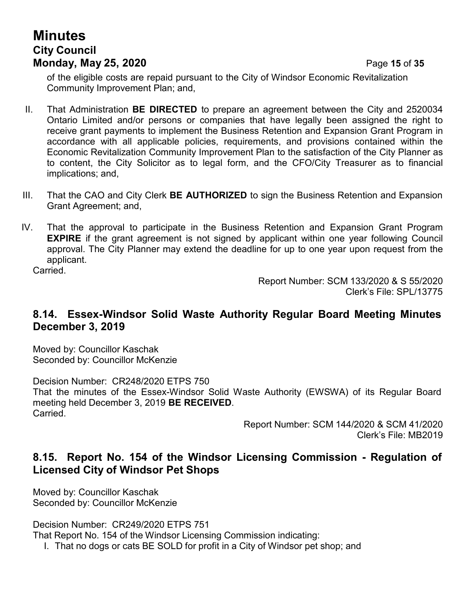# **Minutes City Council Monday, May 25, 2020** Page **15** of **35**

of the eligible costs are repaid pursuant to the City of Windsor Economic Revitalization Community Improvement Plan; and,

- II. That Administration **BE DIRECTED** to prepare an agreement between the City and 2520034 Ontario Limited and/or persons or companies that have legally been assigned the right to receive grant payments to implement the Business Retention and Expansion Grant Program in accordance with all applicable policies, requirements, and provisions contained within the Economic Revitalization Community Improvement Plan to the satisfaction of the City Planner as to content, the City Solicitor as to legal form, and the CFO/City Treasurer as to financial implications; and,
- III. That the CAO and City Clerk **BE AUTHORIZED** to sign the Business Retention and Expansion Grant Agreement; and,
- IV. That the approval to participate in the Business Retention and Expansion Grant Program **EXPIRE** if the grant agreement is not signed by applicant within one year following Council approval. The City Planner may extend the deadline for up to one year upon request from the applicant.

Carried.

Report Number: SCM 133/2020 & S 55/2020 Clerk's File: SPL/13775

### **8.14. Essex-Windsor Solid Waste Authority Regular Board Meeting Minutes December 3, 2019**

Moved by: Councillor Kaschak Seconded by: Councillor McKenzie

Decision Number: CR248/2020 ETPS 750 That the minutes of the Essex-Windsor Solid Waste Authority (EWSWA) of its Regular Board meeting held December 3, 2019 **BE RECEIVED**. Carried.

> Report Number: SCM 144/2020 & SCM 41/2020 Clerk's File: MB2019

### **8.15. Report No. 154 of the Windsor Licensing Commission - Regulation of Licensed City of Windsor Pet Shops**

Moved by: Councillor Kaschak Seconded by: Councillor McKenzie

Decision Number: CR249/2020 ETPS 751

That Report No. 154 of the Windsor Licensing Commission indicating:

I. That no dogs or cats BE SOLD for profit in a City of Windsor pet shop; and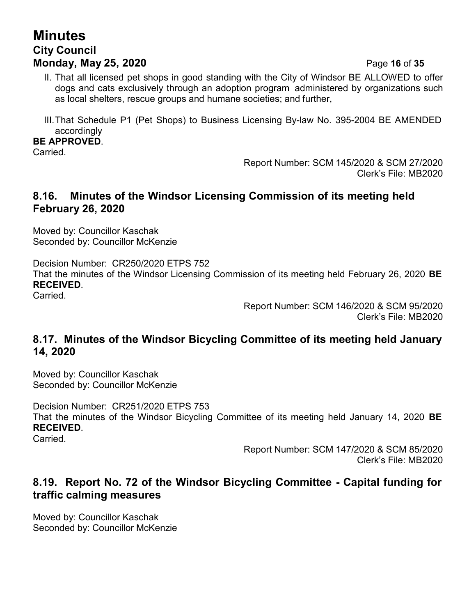# **Minutes City Council Monday, May 25, 2020** Page **16** of **35**

- II. That all licensed pet shops in good standing with the City of Windsor BE ALLOWED to offer dogs and cats exclusively through an adoption program administered by organizations such as local shelters, rescue groups and humane societies; and further,
- III.That Schedule P1 (Pet Shops) to Business Licensing By-law No. 395-2004 BE AMENDED accordingly

#### **BE APPROVED**.

Carried.

Report Number: SCM 145/2020 & SCM 27/2020 Clerk's File: MB2020

# **8.16. Minutes of the Windsor Licensing Commission of its meeting held February 26, 2020**

Moved by: Councillor Kaschak Seconded by: Councillor McKenzie

Decision Number: CR250/2020 ETPS 752 That the minutes of the Windsor Licensing Commission of its meeting held February 26, 2020 **BE RECEIVED**.

Carried.

Report Number: SCM 146/2020 & SCM 95/2020 Clerk's File: MB2020

# **8.17. Minutes of the Windsor Bicycling Committee of its meeting held January 14, 2020**

Moved by: Councillor Kaschak Seconded by: Councillor McKenzie

Decision Number: CR251/2020 ETPS 753 That the minutes of the Windsor Bicycling Committee of its meeting held January 14, 2020 **BE RECEIVED**.

Carried.

Report Number: SCM 147/2020 & SCM 85/2020 Clerk's File: MB2020

# **8.19. Report No. 72 of the Windsor Bicycling Committee - Capital funding for traffic calming measures**

Moved by: Councillor Kaschak Seconded by: Councillor McKenzie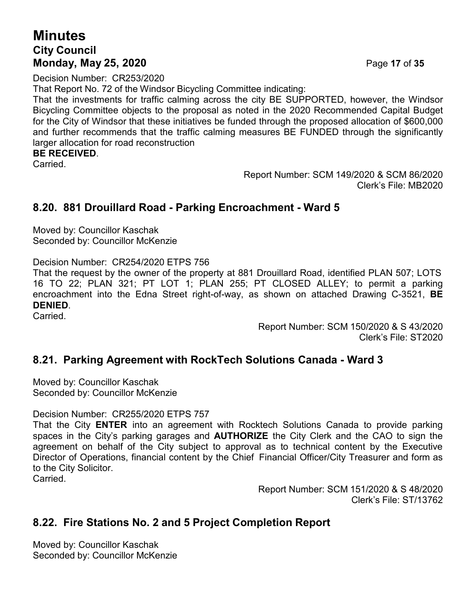# **Minutes City Council Monday, May 25, 2020** Page **17** of **35**

Decision Number: CR253/2020

That Report No. 72 of the Windsor Bicycling Committee indicating:

That the investments for traffic calming across the city BE SUPPORTED, however, the Windsor Bicycling Committee objects to the proposal as noted in the 2020 Recommended Capital Budget for the City of Windsor that these initiatives be funded through the proposed allocation of \$600,000 and further recommends that the traffic calming measures BE FUNDED through the significantly larger allocation for road reconstruction

#### **BE RECEIVED**.

Carried.

Report Number: SCM 149/2020 & SCM 86/2020 Clerk's File: MB2020

### **8.20. 881 Drouillard Road - Parking Encroachment - Ward 5**

Moved by: Councillor Kaschak Seconded by: Councillor McKenzie

Decision Number: CR254/2020 ETPS 756

That the request by the owner of the property at 881 Drouillard Road, identified PLAN 507; LOTS 16 TO 22; PLAN 321; PT LOT 1; PLAN 255; PT CLOSED ALLEY; to permit a parking encroachment into the Edna Street right-of-way, as shown on attached Drawing C-3521, **BE DENIED**.

Carried.

Report Number: SCM 150/2020 & S 43/2020 Clerk's File: ST2020

### **8.21. Parking Agreement with RockTech Solutions Canada - Ward 3**

Moved by: Councillor Kaschak Seconded by: Councillor McKenzie

Decision Number: CR255/2020 ETPS 757

That the City **ENTER** into an agreement with Rocktech Solutions Canada to provide parking spaces in the City's parking garages and **AUTHORIZE** the City Clerk and the CAO to sign the agreement on behalf of the City subject to approval as to technical content by the Executive Director of Operations, financial content by the Chief Financial Officer/City Treasurer and form as to the City Solicitor.

Carried.

Report Number: SCM 151/2020 & S 48/2020 Clerk's File: ST/13762

# **8.22. Fire Stations No. 2 and 5 Project Completion Report**

Moved by: Councillor Kaschak Seconded by: Councillor McKenzie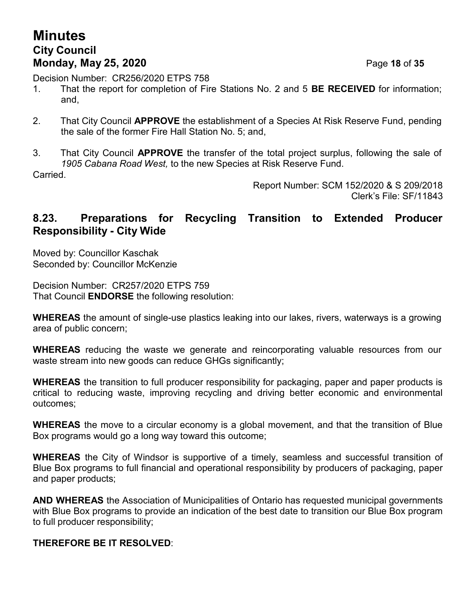# **Minutes City Council Monday, May 25, 2020** Page **18** of **35**

Decision Number: CR256/2020 ETPS 758

- 1. That the report for completion of Fire Stations No. 2 and 5 **BE RECEIVED** for information; and,
- 2. That City Council **APPROVE** the establishment of a Species At Risk Reserve Fund, pending the sale of the former Fire Hall Station No. 5; and,
- 3. That City Council **APPROVE** the transfer of the total project surplus, following the sale of *1905 Cabana Road West,* to the new Species at Risk Reserve Fund.

Carried.

Report Number: SCM 152/2020 & S 209/2018 Clerk's File: SF/11843

### **8.23. Preparations for Recycling Transition to Extended Producer Responsibility - City Wide**

Moved by: Councillor Kaschak Seconded by: Councillor McKenzie

Decision Number: CR257/2020 ETPS 759 That Council **ENDORSE** the following resolution:

**WHEREAS** the amount of single-use plastics leaking into our lakes, rivers, waterways is a growing area of public concern;

**WHEREAS** reducing the waste we generate and reincorporating valuable resources from our waste stream into new goods can reduce GHGs significantly;

**WHEREAS** the transition to full producer responsibility for packaging, paper and paper products is critical to reducing waste, improving recycling and driving better economic and environmental outcomes;

**WHEREAS** the move to a circular economy is a global movement, and that the transition of Blue Box programs would go a long way toward this outcome;

**WHEREAS** the City of Windsor is supportive of a timely, seamless and successful transition of Blue Box programs to full financial and operational responsibility by producers of packaging, paper and paper products;

**AND WHEREAS** the Association of Municipalities of Ontario has requested municipal governments with Blue Box programs to provide an indication of the best date to transition our Blue Box program to full producer responsibility;

#### **THEREFORE BE IT RESOLVED**: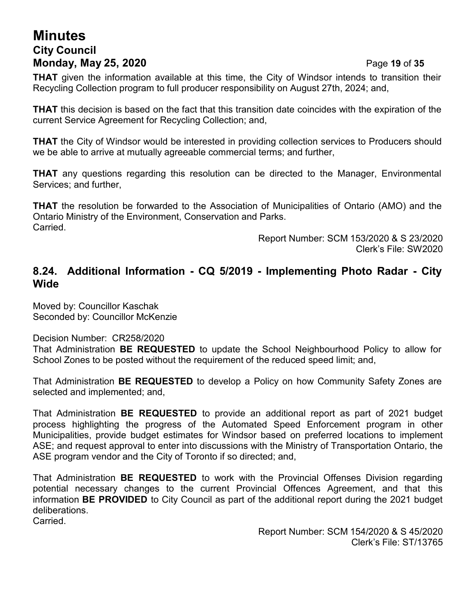# **Minutes City Council Monday, May 25, 2020** Page **19** of **35**

**THAT** given the information available at this time, the City of Windsor intends to transition their Recycling Collection program to full producer responsibility on August 27th, 2024; and,

**THAT** this decision is based on the fact that this transition date coincides with the expiration of the current Service Agreement for Recycling Collection; and,

**THAT** the City of Windsor would be interested in providing collection services to Producers should we be able to arrive at mutually agreeable commercial terms; and further,

**THAT** any questions regarding this resolution can be directed to the Manager, Environmental Services; and further,

**THAT** the resolution be forwarded to the Association of Municipalities of Ontario (AMO) and the Ontario Ministry of the Environment, Conservation and Parks. Carried.

Report Number: SCM 153/2020 & S 23/2020 Clerk's File: SW2020

# **8.24. Additional Information - CQ 5/2019 - Implementing Photo Radar - City Wide**

Moved by: Councillor Kaschak Seconded by: Councillor McKenzie

Decision Number: CR258/2020

That Administration **BE REQUESTED** to update the School Neighbourhood Policy to allow for School Zones to be posted without the requirement of the reduced speed limit; and,

That Administration **BE REQUESTED** to develop a Policy on how Community Safety Zones are selected and implemented; and,

That Administration **BE REQUESTED** to provide an additional report as part of 2021 budget process highlighting the progress of the Automated Speed Enforcement program in other Municipalities, provide budget estimates for Windsor based on preferred locations to implement ASE; and request approval to enter into discussions with the Ministry of Transportation Ontario, the ASE program vendor and the City of Toronto if so directed; and,

That Administration **BE REQUESTED** to work with the Provincial Offenses Division regarding potential necessary changes to the current Provincial Offences Agreement, and that this information **BE PROVIDED** to City Council as part of the additional report during the 2021 budget deliberations.

Carried.

Report Number: SCM 154/2020 & S 45/2020 Clerk's File: ST/13765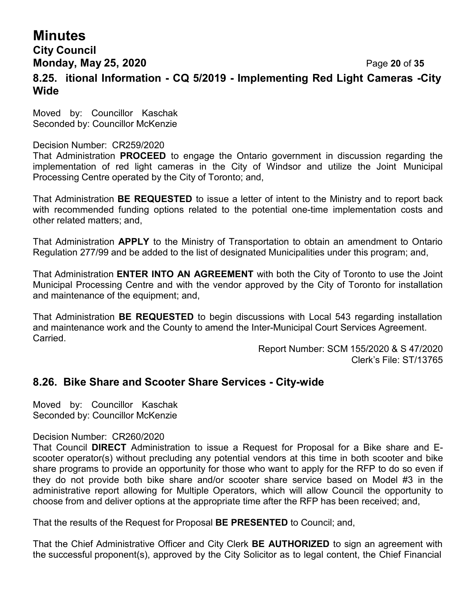# **Minutes**

# **City Council Monday, May 25, 2020** Page **20** of **35 8.25. itional Information - CQ 5/2019 - Implementing Red Light Cameras -City Wide**

Moved by: Councillor Kaschak Seconded by: Councillor McKenzie

#### Decision Number: CR259/2020

That Administration **PROCEED** to engage the Ontario government in discussion regarding the implementation of red light cameras in the City of Windsor and utilize the Joint Municipal Processing Centre operated by the City of Toronto; and,

That Administration **BE REQUESTED** to issue a letter of intent to the Ministry and to report back with recommended funding options related to the potential one-time implementation costs and other related matters; and,

That Administration **APPLY** to the Ministry of Transportation to obtain an amendment to Ontario Regulation 277/99 and be added to the list of designated Municipalities under this program; and,

That Administration **ENTER INTO AN AGREEMENT** with both the City of Toronto to use the Joint Municipal Processing Centre and with the vendor approved by the City of Toronto for installation and maintenance of the equipment; and,

That Administration **BE REQUESTED** to begin discussions with Local 543 regarding installation and maintenance work and the County to amend the Inter-Municipal Court Services Agreement. Carried.

> Report Number: SCM 155/2020 & S 47/2020 Clerk's File: ST/13765

# **8.26. Bike Share and Scooter Share Services - City-wide**

Moved by: Councillor Kaschak Seconded by: Councillor McKenzie

#### Decision Number: CR260/2020

That Council **DIRECT** Administration to issue a Request for Proposal for a Bike share and Escooter operator(s) without precluding any potential vendors at this time in both scooter and bike share programs to provide an opportunity for those who want to apply for the RFP to do so even if they do not provide both bike share and/or scooter share service based on Model #3 in the administrative report allowing for Multiple Operators, which will allow Council the opportunity to choose from and deliver options at the appropriate time after the RFP has been received; and,

That the results of the Request for Proposal **BE PRESENTED** to Council; and,

That the Chief Administrative Officer and City Clerk **BE AUTHORIZED** to sign an agreement with the successful proponent(s), approved by the City Solicitor as to legal content, the Chief Financial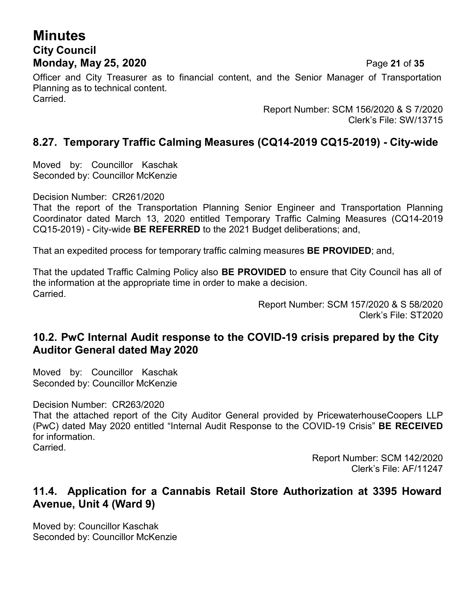# **Minutes City Council Monday, May 25, 2020** Page **21** of **35**

Officer and City Treasurer as to financial content, and the Senior Manager of Transportation Planning as to technical content. Carried.

> Report Number: SCM 156/2020 & S 7/2020 Clerk's File: SW/13715

# **8.27. Temporary Traffic Calming Measures (CQ14-2019 CQ15-2019) - City-wide**

Moved by: Councillor Kaschak Seconded by: Councillor McKenzie

Decision Number: CR261/2020

That the report of the Transportation Planning Senior Engineer and Transportation Planning Coordinator dated March 13, 2020 entitled Temporary Traffic Calming Measures (CQ14-2019 CQ15-2019) - City-wide **BE REFERRED** to the 2021 Budget deliberations; and,

That an expedited process for temporary traffic calming measures **BE PROVIDED**; and,

That the updated Traffic Calming Policy also **BE PROVIDED** to ensure that City Council has all of the information at the appropriate time in order to make a decision. Carried.

Report Number: SCM 157/2020 & S 58/2020 Clerk's File: ST2020

### **10.2. PwC Internal Audit response to the COVID-19 crisis prepared by the City Auditor General dated May 2020**

Moved by: Councillor Kaschak Seconded by: Councillor McKenzie

Decision Number: CR263/2020

That the attached report of the City Auditor General provided by PricewaterhouseCoopers LLP (PwC) dated May 2020 entitled "Internal Audit Response to the COVID-19 Crisis" **BE RECEIVED** for information. Carried.

> Report Number: SCM 142/2020 Clerk's File: AF/11247

### **11.4. Application for a Cannabis Retail Store Authorization at 3395 Howard Avenue, Unit 4 (Ward 9)**

Moved by: Councillor Kaschak Seconded by: Councillor McKenzie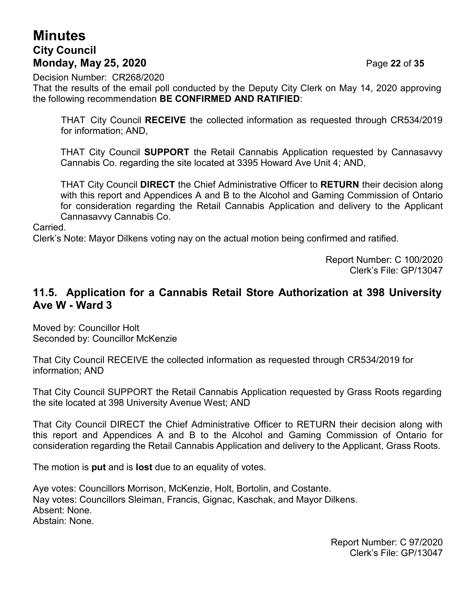# **Minutes City Council Monday, May 25, 2020** Page **22** of **35**

Decision Number: CR268/2020

That the results of the email poll conducted by the Deputy City Clerk on May 14, 2020 approving the following recommendation **BE CONFIRMED AND RATIFIED**:

THAT City Council **RECEIVE** the collected information as requested through CR534/2019 for information; AND,

THAT City Council **SUPPORT** the Retail Cannabis Application requested by Cannasavvy Cannabis Co. regarding the site located at 3395 Howard Ave Unit 4; AND,

THAT City Council **DIRECT** the Chief Administrative Officer to **RETURN** their decision along with this report and Appendices A and B to the Alcohol and Gaming Commission of Ontario for consideration regarding the Retail Cannabis Application and delivery to the Applicant Cannasavvy Cannabis Co.

#### Carried.

Clerk's Note: Mayor Dilkens voting nay on the actual motion being confirmed and ratified.

Report Number: C 100/2020 Clerk's File: GP/13047

### **11.5. Application for a Cannabis Retail Store Authorization at 398 University Ave W - Ward 3**

Moved by: Councillor Holt Seconded by: Councillor McKenzie

That City Council RECEIVE the collected information as requested through CR534/2019 for information; AND

That City Council SUPPORT the Retail Cannabis Application requested by Grass Roots regarding the site located at 398 University Avenue West; AND

That City Council DIRECT the Chief Administrative Officer to RETURN their decision along with this report and Appendices A and B to the Alcohol and Gaming Commission of Ontario for consideration regarding the Retail Cannabis Application and delivery to the Applicant, Grass Roots.

The motion is **put** and is **lost** due to an equality of votes.

Aye votes: Councillors Morrison, McKenzie, Holt, Bortolin, and Costante. Nay votes: Councillors Sleiman, Francis, Gignac, Kaschak, and Mayor Dilkens. Absent: None. Abstain: None.

> Report Number: C 97/2020 Clerk's File: GP/13047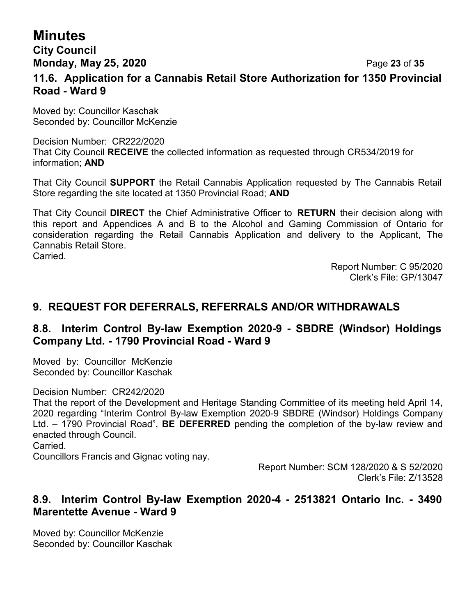# **Minutes**

### **City Council Monday, May 25, 2020** Page **23** of **35**

# **11.6. Application for a Cannabis Retail Store Authorization for 1350 Provincial Road - Ward 9**

Moved by: Councillor Kaschak Seconded by: Councillor McKenzie

#### Decision Number: CR222/2020 That City Council **RECEIVE** the collected information as requested through CR534/2019 for information; **AND**

That City Council **SUPPORT** the Retail Cannabis Application requested by The Cannabis Retail Store regarding the site located at 1350 Provincial Road; **AND**

That City Council **DIRECT** the Chief Administrative Officer to **RETURN** their decision along with this report and Appendices A and B to the Alcohol and Gaming Commission of Ontario for consideration regarding the Retail Cannabis Application and delivery to the Applicant, The Cannabis Retail Store. Carried.

> Report Number: C 95/2020 Clerk's File: GP/13047

# **9. REQUEST FOR DEFERRALS, REFERRALS AND/OR WITHDRAWALS**

# **8.8. Interim Control By-law Exemption 2020-9 - SBDRE (Windsor) Holdings Company Ltd. - 1790 Provincial Road - Ward 9**

Moved by: Councillor McKenzie Seconded by: Councillor Kaschak

Decision Number: CR242/2020

That the report of the Development and Heritage Standing Committee of its meeting held April 14, 2020 regarding "Interim Control By-law Exemption 2020-9 SBDRE (Windsor) Holdings Company Ltd. – 1790 Provincial Road", **BE DEFERRED** pending the completion of the by-law review and enacted through Council.

Carried.

Councillors Francis and Gignac voting nay.

Report Number: SCM 128/2020 & S 52/2020 Clerk's File: Z/13528

### **8.9. Interim Control By-law Exemption 2020-4 - 2513821 Ontario Inc. - 3490 Marentette Avenue - Ward 9**

Moved by: Councillor McKenzie Seconded by: Councillor Kaschak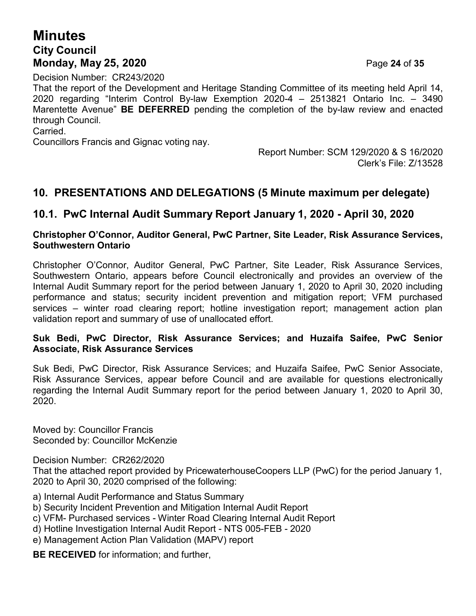# **Minutes City Council Monday, May 25, 2020** Page **24** of **35**

Decision Number: CR243/2020

That the report of the Development and Heritage Standing Committee of its meeting held April 14, 2020 regarding "Interim Control By-law Exemption 2020-4 – 2513821 Ontario Inc. – 3490 Marentette Avenue" **BE DEFERRED** pending the completion of the by-law review and enacted through Council.

#### **Carried**

Councillors Francis and Gignac voting nay.

Report Number: SCM 129/2020 & S 16/2020 Clerk's File: Z/13528

### **10. PRESENTATIONS AND DELEGATIONS (5 Minute maximum per delegate)**

### **10.1. PwC Internal Audit Summary Report January 1, 2020 - April 30, 2020**

#### **Christopher O'Connor, Auditor General, PwC Partner, Site Leader, Risk Assurance Services, Southwestern Ontario**

Christopher O'Connor, Auditor General, PwC Partner, Site Leader, Risk Assurance Services, Southwestern Ontario, appears before Council electronically and provides an overview of the Internal Audit Summary report for the period between January 1, 2020 to April 30, 2020 including performance and status; security incident prevention and mitigation report; VFM purchased services – winter road clearing report; hotline investigation report; management action plan validation report and summary of use of unallocated effort.

#### **Suk Bedi, PwC Director, Risk Assurance Services; and Huzaifa Saifee, PwC Senior Associate, Risk Assurance Services**

Suk Bedi, PwC Director, Risk Assurance Services; and Huzaifa Saifee, PwC Senior Associate, Risk Assurance Services, appear before Council and are available for questions electronically regarding the Internal Audit Summary report for the period between January 1, 2020 to April 30, 2020.

Moved by: Councillor Francis Seconded by: Councillor McKenzie

Decision Number: CR262/2020

That the attached report provided by PricewaterhouseCoopers LLP (PwC) for the period January 1, 2020 to April 30, 2020 comprised of the following:

- a) Internal Audit Performance and Status Summary
- b) Security Incident Prevention and Mitigation Internal Audit Report
- c) VFM- Purchased services Winter Road Clearing Internal Audit Report
- d) Hotline Investigation Internal Audit Report NTS 005-FEB 2020
- e) Management Action Plan Validation (MAPV) report

**BE RECEIVED** for information; and further,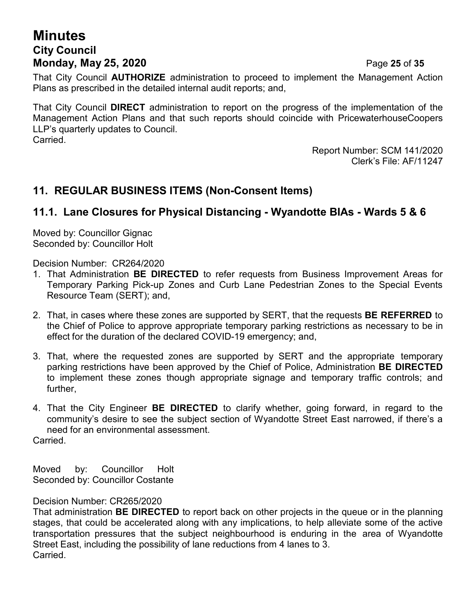# **Minutes City Council Monday, May 25, 2020** Page **25** of **35**

That City Council **AUTHORIZE** administration to proceed to implement the Management Action Plans as prescribed in the detailed internal audit reports; and,

That City Council **DIRECT** administration to report on the progress of the implementation of the Management Action Plans and that such reports should coincide with PricewaterhouseCoopers LLP's quarterly updates to Council. Carried.

> Report Number: SCM 141/2020 Clerk's File: AF/11247

# **11. REGULAR BUSINESS ITEMS (Non-Consent Items)**

### **11.1. Lane Closures for Physical Distancing - Wyandotte BIAs - Wards 5 & 6**

Moved by: Councillor Gignac Seconded by: Councillor Holt

Decision Number: CR264/2020

- 1. That Administration **BE DIRECTED** to refer requests from Business Improvement Areas for Temporary Parking Pick-up Zones and Curb Lane Pedestrian Zones to the Special Events Resource Team (SERT); and,
- 2. That, in cases where these zones are supported by SERT, that the requests **BE REFERRED** to the Chief of Police to approve appropriate temporary parking restrictions as necessary to be in effect for the duration of the declared COVID-19 emergency; and,
- 3. That, where the requested zones are supported by SERT and the appropriate temporary parking restrictions have been approved by the Chief of Police, Administration **BE DIRECTED** to implement these zones though appropriate signage and temporary traffic controls; and further,
- 4. That the City Engineer **BE DIRECTED** to clarify whether, going forward, in regard to the community's desire to see the subject section of Wyandotte Street East narrowed, if there's a need for an environmental assessment. Carried.

Moved by: Councillor Holt Seconded by: Councillor Costante

Decision Number: CR265/2020

That administration **BE DIRECTED** to report back on other projects in the queue or in the planning stages, that could be accelerated along with any implications, to help alleviate some of the active transportation pressures that the subject neighbourhood is enduring in the area of Wyandotte Street East, including the possibility of lane reductions from 4 lanes to 3. Carried.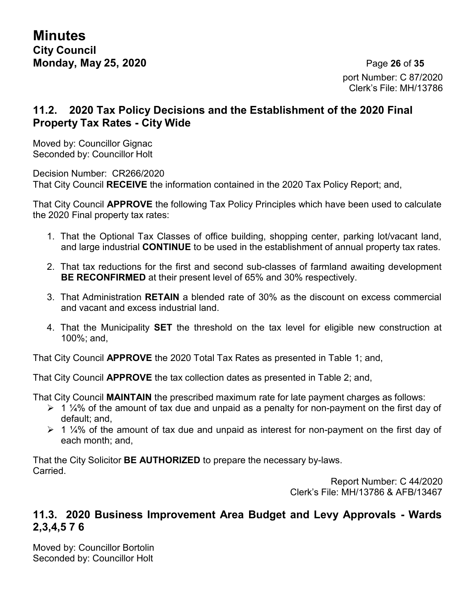port Number: C 87/2020 Clerk's File: MH/13786

# **11.2. 2020 Tax Policy Decisions and the Establishment of the 2020 Final Property Tax Rates - City Wide**

Moved by: Councillor Gignac Seconded by: Councillor Holt

Decision Number: CR266/2020 That City Council **RECEIVE** the information contained in the 2020 Tax Policy Report; and,

That City Council **APPROVE** the following Tax Policy Principles which have been used to calculate the 2020 Final property tax rates:

- 1. That the Optional Tax Classes of office building, shopping center, parking lot/vacant land, and large industrial **CONTINUE** to be used in the establishment of annual property tax rates.
- 2. That tax reductions for the first and second sub-classes of farmland awaiting development **BE RECONFIRMED** at their present level of 65% and 30% respectively.
- 3. That Administration **RETAIN** a blended rate of 30% as the discount on excess commercial and vacant and excess industrial land.
- 4. That the Municipality **SET** the threshold on the tax level for eligible new construction at 100%; and,

That City Council **APPROVE** the 2020 Total Tax Rates as presented in Table 1; and,

That City Council **APPROVE** the tax collection dates as presented in Table 2; and,

That City Council **MAINTAIN** the prescribed maximum rate for late payment charges as follows:

- $\geq 1$  ¼% of the amount of tax due and unpaid as a penalty for non-payment on the first day of default; and,
- $\geq 1$  ¼% of the amount of tax due and unpaid as interest for non-payment on the first day of each month; and,

That the City Solicitor **BE AUTHORIZED** to prepare the necessary by-laws. Carried.

Report Number: C 44/2020 Clerk's File: MH/13786 & AFB/13467

### **11.3. 2020 Business Improvement Area Budget and Levy Approvals - Wards 2,3,4,5 7 6**

Moved by: Councillor Bortolin Seconded by: Councillor Holt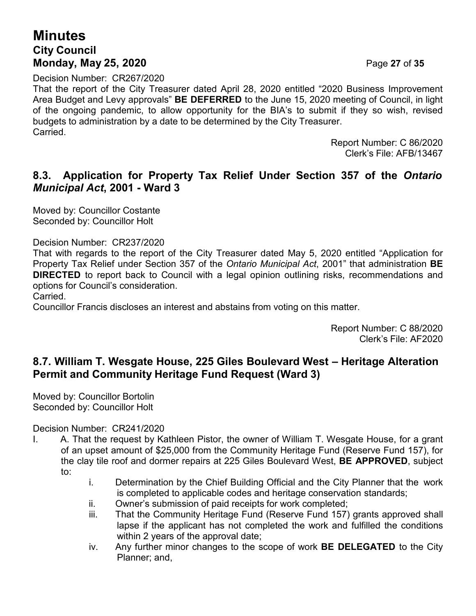# **Minutes City Council Monday, May 25, 2020** Page **27** of **35**

Decision Number: CR267/2020

That the report of the City Treasurer dated April 28, 2020 entitled "2020 Business Improvement Area Budget and Levy approvals" **BE DEFERRED** to the June 15, 2020 meeting of Council, in light of the ongoing pandemic, to allow opportunity for the BIA's to submit if they so wish, revised budgets to administration by a date to be determined by the City Treasurer. Carried.

> Report Number: C 86/2020 Clerk's File: AFB/13467

# **8.3. Application for Property Tax Relief Under Section 357 of the** *Ontario Municipal Act***, 2001 - Ward 3**

Moved by: Councillor Costante Seconded by: Councillor Holt

#### Decision Number: CR237/2020

That with regards to the report of the City Treasurer dated May 5, 2020 entitled "Application for Property Tax Relief under Section 357 of the *Ontario Municipal Act*, 2001" that administration **BE DIRECTED** to report back to Council with a legal opinion outlining risks, recommendations and options for Council's consideration.

Carried.

Councillor Francis discloses an interest and abstains from voting on this matter.

Report Number: C 88/2020 Clerk's File: AF2020

# **8.7. William T. Wesgate House, 225 Giles Boulevard West – Heritage Alteration Permit and Community Heritage Fund Request (Ward 3)**

Moved by: Councillor Bortolin Seconded by: Councillor Holt

Decision Number: CR241/2020

- I. A. That the request by Kathleen Pistor, the owner of William T. Wesgate House, for a grant of an upset amount of \$25,000 from the Community Heritage Fund (Reserve Fund 157), for the clay tile roof and dormer repairs at 225 Giles Boulevard West, **BE APPROVED**, subject to:
	- i. Determination by the Chief Building Official and the City Planner that the work is completed to applicable codes and heritage conservation standards;
	- ii. Owner's submission of paid receipts for work completed;
	- iii. That the Community Heritage Fund (Reserve Fund 157) grants approved shall lapse if the applicant has not completed the work and fulfilled the conditions within 2 years of the approval date;
	- iv. Any further minor changes to the scope of work **BE DELEGATED** to the City Planner; and,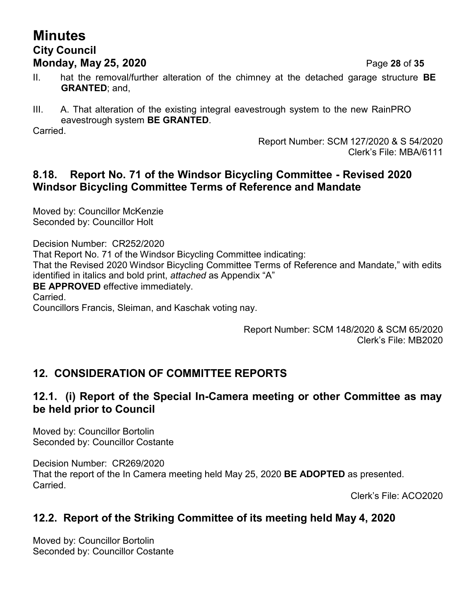# **Minutes City Council Monday, May 25, 2020** Page **28** of **35**

- II. hat the removal/further alteration of the chimney at the detached garage structure **BE GRANTED**; and,
- III. A. That alteration of the existing integral eavestrough system to the new RainPRO eavestrough system **BE GRANTED**.

Carried.

Report Number: SCM 127/2020 & S 54/2020 Clerk's File: MBA/6111

# **8.18. Report No. 71 of the Windsor Bicycling Committee - Revised 2020 Windsor Bicycling Committee Terms of Reference and Mandate**

Moved by: Councillor McKenzie Seconded by: Councillor Holt

Decision Number: CR252/2020 That Report No. 71 of the Windsor Bicycling Committee indicating: That the Revised 2020 Windsor Bicycling Committee Terms of Reference and Mandate," with edits identified in italics and bold print, *attached* as Appendix "A" **BE APPROVED** effective immediately. Carried. Councillors Francis, Sleiman, and Kaschak voting nay.

> Report Number: SCM 148/2020 & SCM 65/2020 Clerk's File: MB2020

# **12. CONSIDERATION OF COMMITTEE REPORTS**

# **12.1. (i) Report of the Special In-Camera meeting or other Committee as may be held prior to Council**

Moved by: Councillor Bortolin Seconded by: Councillor Costante

Decision Number: CR269/2020 That the report of the In Camera meeting held May 25, 2020 **BE ADOPTED** as presented. Carried.

Clerk's File: ACO2020

# **12.2. Report of the Striking Committee of its meeting held May 4, 2020**

Moved by: Councillor Bortolin Seconded by: Councillor Costante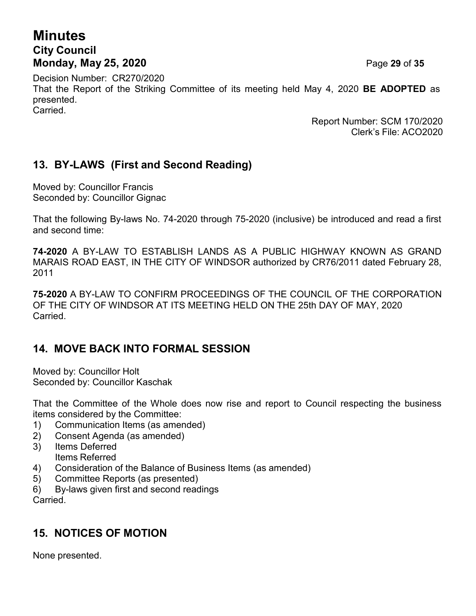# **Minutes City Council Monday, May 25, 2020** Page **29** of **35**

Decision Number: CR270/2020 That the Report of the Striking Committee of its meeting held May 4, 2020 **BE ADOPTED** as presented. Carried.

> Report Number: SCM 170/2020 Clerk's File: ACO2020

# **13. BY-LAWS (First and Second Reading)**

Moved by: Councillor Francis Seconded by: Councillor Gignac

That the following By-laws No. 74-2020 through 75-2020 (inclusive) be introduced and read a first and second time:

**74-2020** A BY-LAW TO ESTABLISH LANDS AS A PUBLIC HIGHWAY KNOWN AS GRAND MARAIS ROAD EAST, IN THE CITY OF WINDSOR authorized by CR76/2011 dated February 28, 2011

**75-2020** A BY-LAW TO CONFIRM PROCEEDINGS OF THE COUNCIL OF THE CORPORATION OF THE CITY OF WINDSOR AT ITS MEETING HELD ON THE 25th DAY OF MAY, 2020 Carried.

# **14. MOVE BACK INTO FORMAL SESSION**

Moved by: Councillor Holt Seconded by: Councillor Kaschak

That the Committee of the Whole does now rise and report to Council respecting the business items considered by the Committee:

- 1) Communication Items (as amended)
- 2) Consent Agenda (as amended)
- 3) Items Deferred
- Items Referred
- 4) Consideration of the Balance of Business Items (as amended)
- 5) Committee Reports (as presented)
- 6) By-laws given first and second readings

Carried.

# **15. NOTICES OF MOTION**

None presented.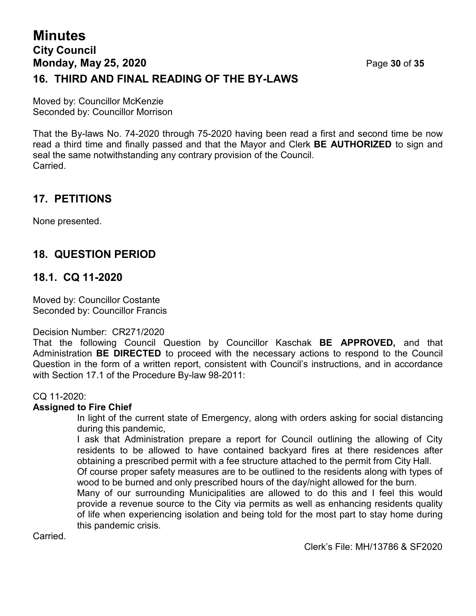# **Minutes City Council Monday, May 25, 2020** Page **30** of **35 16. THIRD AND FINAL READING OF THE BY-LAWS**

Moved by: Councillor McKenzie Seconded by: Councillor Morrison

That the By-laws No. 74-2020 through 75-2020 having been read a first and second time be now read a third time and finally passed and that the Mayor and Clerk **BE AUTHORIZED** to sign and seal the same notwithstanding any contrary provision of the Council. Carried.

# **17. PETITIONS**

None presented.

# **18. QUESTION PERIOD**

### **18.1. CQ 11-2020**

Moved by: Councillor Costante Seconded by: Councillor Francis

#### Decision Number: CR271/2020

That the following Council Question by Councillor Kaschak **BE APPROVED,** and that Administration **BE DIRECTED** to proceed with the necessary actions to respond to the Council Question in the form of a written report, consistent with Council's instructions, and in accordance with Section 17.1 of the Procedure By-law 98-2011:

#### CQ 11-2020:

#### **Assigned to Fire Chief**

In light of the current state of Emergency, along with orders asking for social distancing during this pandemic,

I ask that Administration prepare a report for Council outlining the allowing of City residents to be allowed to have contained backyard fires at there residences after obtaining a prescribed permit with a fee structure attached to the permit from City Hall.

Of course proper safety measures are to be outlined to the residents along with types of wood to be burned and only prescribed hours of the day/night allowed for the burn.

Many of our surrounding Municipalities are allowed to do this and I feel this would provide a revenue source to the City via permits as well as enhancing residents quality of life when experiencing isolation and being told for the most part to stay home during this pandemic crisis.

**Carried**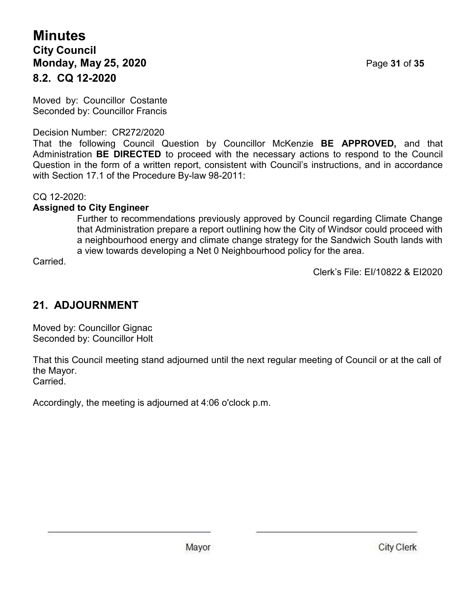# **Minutes City Council Monday, May 25, 2020** Page **31** of **35 8.2. CQ 12-2020**

Moved by: Councillor Costante Seconded by: Councillor Francis

### Decision Number: CR272/2020

That the following Council Question by Councillor McKenzie **BE APPROVED,** and that Administration **BE DIRECTED** to proceed with the necessary actions to respond to the Council Question in the form of a written report, consistent with Council's instructions, and in accordance with Section 17.1 of the Procedure By-law 98-2011:

CQ 12-2020:

### **Assigned to City Engineer**

Further to recommendations previously approved by Council regarding Climate Change that Administration prepare a report outlining how the City of Windsor could proceed with a neighbourhood energy and climate change strategy for the Sandwich South lands with a view towards developing a Net 0 Neighbourhood policy for the area.

Carried.

Clerk's File: EI/10822 & EI2020

# **21. ADJOURNMENT**

Moved by: Councillor Gignac Seconded by: Councillor Holt

That this Council meeting stand adjourned until the next regular meeting of Council or at the call of the Mayor. Carried.

Accordingly, the meeting is adjourned at 4:06 o'clock p.m.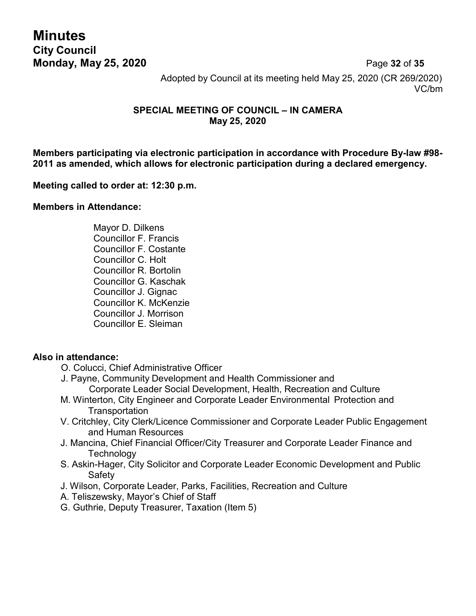**Minutes City Council**

**Monday, May 25, 2020** Page **32** of **35** Adopted by Council at its meeting held May 25, 2020 (CR 269/2020) VC/bm

#### **SPECIAL MEETING OF COUNCIL – IN CAMERA May 25, 2020**

**Members participating via electronic participation in accordance with Procedure By-law #98- 2011 as amended, which allows for electronic participation during a declared emergency.**

#### **Meeting called to order at: 12:30 p.m.**

#### **Members in Attendance:**

Mayor D. Dilkens Councillor F. Francis Councillor F. Costante Councillor C. Holt Councillor R. Bortolin Councillor G. Kaschak Councillor J. Gignac Councillor K. McKenzie Councillor J. Morrison Councillor E. Sleiman

#### **Also in attendance:**

- O. Colucci, Chief Administrative Officer
- J. Payne, Community Development and Health Commissioner and Corporate Leader Social Development, Health, Recreation and Culture
- M. Winterton, City Engineer and Corporate Leader Environmental Protection and **Transportation**
- V. Critchley, City Clerk/Licence Commissioner and Corporate Leader Public Engagement and Human Resources
- J. Mancina, Chief Financial Officer/City Treasurer and Corporate Leader Finance and **Technology**
- S. Askin-Hager, City Solicitor and Corporate Leader Economic Development and Public Safety
- J. Wilson, Corporate Leader, Parks, Facilities, Recreation and Culture
- A. Teliszewsky, Mayor's Chief of Staff
- G. Guthrie, Deputy Treasurer, Taxation (Item 5)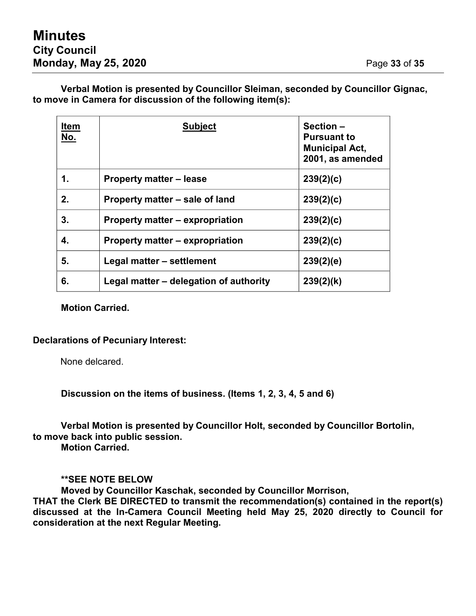**Verbal Motion is presented by Councillor Sleiman, seconded by Councillor Gignac, to move in Camera for discussion of the following item(s):**

| <b>Item</b><br><u>No.</u> | <b>Subject</b>                         | Section-<br><b>Pursuant to</b><br><b>Municipal Act,</b><br>2001, as amended |
|---------------------------|----------------------------------------|-----------------------------------------------------------------------------|
| 1.                        | Property matter – lease                | 239(2)(c)                                                                   |
| 2.                        | Property matter – sale of land         | 239(2)(c)                                                                   |
| 3.                        | Property matter – expropriation        | 239(2)(c)                                                                   |
| 4.                        | Property matter – expropriation        | 239(2)(c)                                                                   |
| 5.                        | Legal matter - settlement              | 239(2)(e)                                                                   |
| 6.                        | Legal matter – delegation of authority | 239(2)(k)                                                                   |

**Motion Carried.**

#### **Declarations of Pecuniary Interest:**

None delcared.

**Discussion on the items of business. (Items 1, 2, 3, 4, 5 and 6)**

**Verbal Motion is presented by Councillor Holt, seconded by Councillor Bortolin, to move back into public session.**

**Motion Carried.**

**\*\*SEE NOTE BELOW**

**Moved by Councillor Kaschak, seconded by Councillor Morrison,**

**THAT the Clerk BE DIRECTED to transmit the recommendation(s) contained in the report(s) discussed at the In-Camera Council Meeting held May 25, 2020 directly to Council for consideration at the next Regular Meeting.**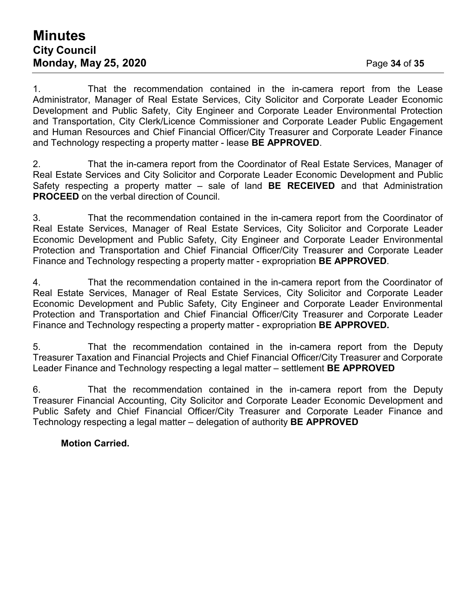# **Minutes City Council Monday, May 25, 2020** Page **34** of **35**

1. That the recommendation contained in the in-camera report from the Lease Administrator, Manager of Real Estate Services, City Solicitor and Corporate Leader Economic Development and Public Safety, City Engineer and Corporate Leader Environmental Protection and Transportation, City Clerk/Licence Commissioner and Corporate Leader Public Engagement and Human Resources and Chief Financial Officer/City Treasurer and Corporate Leader Finance and Technology respecting a property matter - lease **BE APPROVED**.

2. That the in-camera report from the Coordinator of Real Estate Services, Manager of Real Estate Services and City Solicitor and Corporate Leader Economic Development and Public Safety respecting a property matter – sale of land **BE RECEIVED** and that Administration **PROCEED** on the verbal direction of Council.

3. That the recommendation contained in the in-camera report from the Coordinator of Real Estate Services, Manager of Real Estate Services, City Solicitor and Corporate Leader Economic Development and Public Safety, City Engineer and Corporate Leader Environmental Protection and Transportation and Chief Financial Officer/City Treasurer and Corporate Leader Finance and Technology respecting a property matter - expropriation **BE APPROVED**.

4. That the recommendation contained in the in-camera report from the Coordinator of Real Estate Services, Manager of Real Estate Services, City Solicitor and Corporate Leader Economic Development and Public Safety, City Engineer and Corporate Leader Environmental Protection and Transportation and Chief Financial Officer/City Treasurer and Corporate Leader Finance and Technology respecting a property matter - expropriation **BE APPROVED.**

5. That the recommendation contained in the in-camera report from the Deputy Treasurer Taxation and Financial Projects and Chief Financial Officer/City Treasurer and Corporate Leader Finance and Technology respecting a legal matter – settlement **BE APPROVED**

6. That the recommendation contained in the in-camera report from the Deputy Treasurer Financial Accounting, City Solicitor and Corporate Leader Economic Development and Public Safety and Chief Financial Officer/City Treasurer and Corporate Leader Finance and Technology respecting a legal matter – delegation of authority **BE APPROVED**

#### **Motion Carried.**